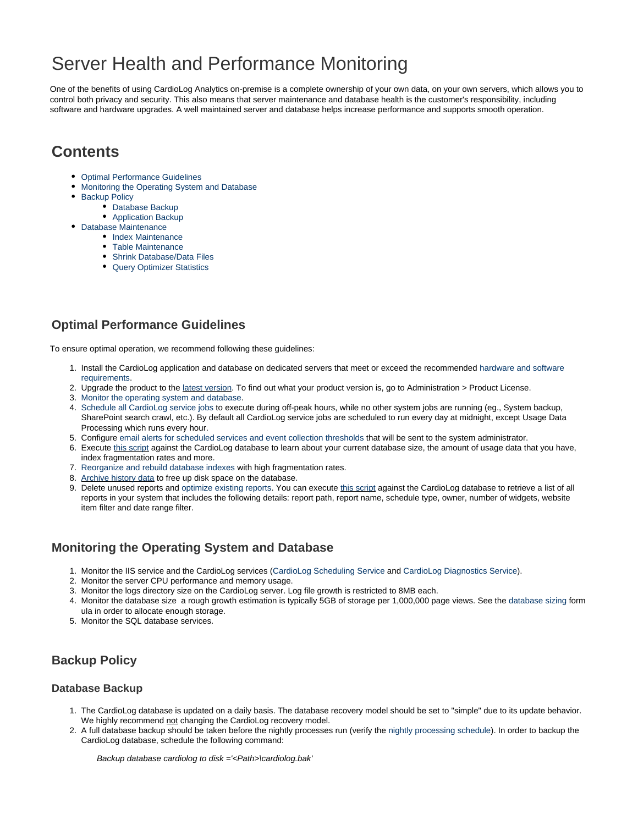# Server Health and Performance Monitoring

One of the benefits of using CardioLog Analytics on-premise is a complete ownership of your own data, on your own servers, which allows you to control both privacy and security. This also means that server maintenance and database health is the customer's responsibility, including software and hardware upgrades. A well maintained server and database helps increase performance and supports smooth operation.

## **Contents**

- [Optimal Performance Guidelines](#page-0-0)
- [Monitoring the Operating System and Database](#page-0-1)
- [Backup Policy](#page-0-2)
	- [Database Backup](#page-0-3)
	- [Application Backup](#page-1-0)
- [Database Maintenance](#page-1-1)
	- [Index Maintenance](#page-1-2)
	- Table Maintenance
	- [Shrink Database/Data Files](#page-1-3)
	- [Query Optimizer Statistics](#page-1-4)

## <span id="page-0-0"></span>**Optimal Performance Guidelines**

To ensure optimal operation, we recommend following these guidelines:

- 1. Install the CardioLog application and database on dedicated servers that meet or exceed the recommended [hardware and software](https://kb.intlock.com/display/Support/System+Requirements) [requirements.](https://kb.intlock.com/display/Support/System+Requirements)
- 2. Upgrade the product to the [latest version](https://kb.intlock.com/display/Support/CardioLog+Analytics+Release+Notes). To find out what your product version is, go to Administration > Product License.
- 3. [Monitor the operating system and database.](#page-0-1)
- 4. [Schedule all CardioLog service jobs](https://kb.intlock.com/display/Support/CardioLog+Scheduling+Service) to execute during off-peak hours, while no other system jobs are running (eg., System backup, SharePoint search crawl, etc.). By default all CardioLog service jobs are scheduled to run every day at midnight, except Usage Data Processing which runs every hour.
- 5. Configure [email alerts for scheduled services and event collection thresholds](https://kb.intlock.com/display/Support/System+Diagnostics#SystemDiagnostics-schedule) that will be sent to the system administrator.
- 6. Execute [this script](http://www.intlock.com/intlocksite/Downloads/check_current_database_status.txt) against the CardioLog database to learn about your current database size, the amount of usage data that you have, index fragmentation rates and more.
- 7. [Reorganize and rebuild database indexes](#page-1-1) with high fragmentation rates.
- 8. [Archive history data](https://kb.intlock.com/display/Support/Data+Archiving) to free up disk space on the database.
- 9. Delete unused reports and [optimize existing reports.](https://kb.intlock.com/display/Support/Report+Center#ReportCenter-tipsefficient) You can execute <u>this script</u> against the CardioLog database to retrieve a list of all reports in your system that includes the following details: report path, report name, schedule type, owner, number of widgets, website item filter and date range filter.

#### <span id="page-0-1"></span>**Monitoring the Operating System and Database**

- 1. Monitor the IIS service and the CardioLog services ([CardioLog Scheduling Service](https://kb.intlock.com/display/Support/CardioLog+Scheduling+Service) and [CardioLog Diagnostics Service](https://kb.intlock.com/display/Support/System+Diagnostics#SystemDiagnostics-cardiologdiagnostics)).
- 2. Monitor the server CPU performance and memory usage.
- 3. Monitor the logs directory size on the CardioLog server. Log file growth is restricted to 8MB each.
- 4. Monitor the database size a rough growth estimation is typically 5GB of storage per 1,000,000 page views. See the [database sizing](https://kb.intlock.com/display/Support/System+Requirements#SystemRequirements-databasesizing) form ula in order to allocate enough storage.
- 5. Monitor the SQL database services.

## <span id="page-0-2"></span>**Backup Policy**

#### <span id="page-0-3"></span>**Database Backup**

- 1. The CardioLog database is updated on a daily basis. The database recovery model should be set to "simple" due to its update behavior. We highly recommend not changing the CardioLog recovery model.
- 2. A full database backup should be taken before the nightly processes run (verify the [nightly processing schedule](https://kb.intlock.com/display/Support/CardioLog+Scheduling+Service#CardioLogSchedulingService-servicecomponent)). In order to backup the CardioLog database, schedule the following command:

Backup database cardiolog to disk ='<Path>\cardiolog.bak'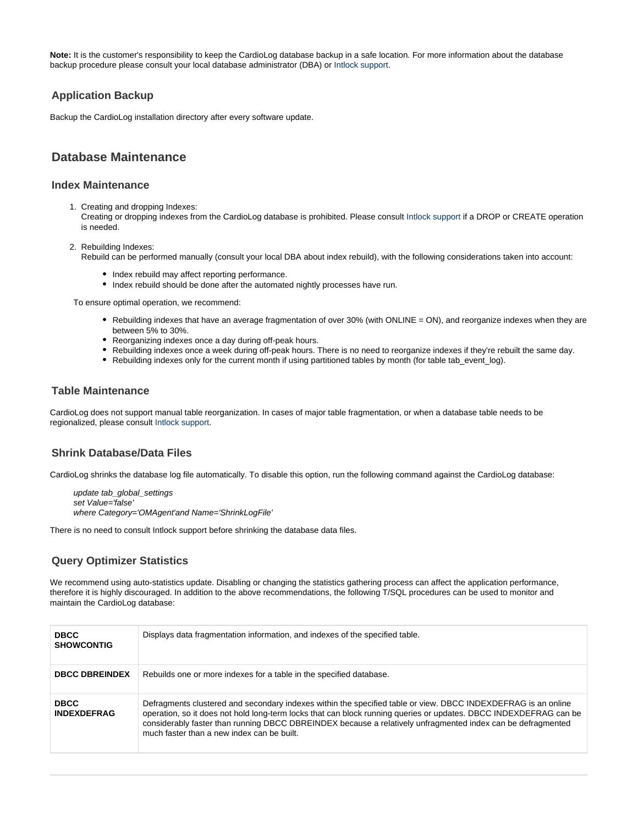Note: It is the customer's responsibility to keep the CardioLog database backup in a safe location. For more information about the database backup procedure please consult your local database administrator (DBA) or [Intlock support.](http://support.intlock.com/anonymous_requests/new)

#### <span id="page-1-0"></span>**Application Backup**

Backup the CardioLog installation directory after every software update.

#### <span id="page-1-1"></span>**Database Maintenance**

#### <span id="page-1-2"></span>**Index Maintenance**

1. Creating and dropping Indexes:

Creating or dropping indexes from the CardioLog database is prohibited. Please consult [Intlock support](http://support.intlock.com/tickets/new) if a DROP or CREATE operation is needed.

2. Rebuilding Indexes:

Rebuild can be performed manually (consult your local DBA about index rebuild), with the following considerations taken into account:

- Index rebuild may affect reporting performance.
- Index rebuild should be done after the automated nightly processes have run.

To ensure optimal operation, we recommend:

- Rebuilding indexes that have an average fragmentation of over 30% (with ONLINE = ON), and reorganize indexes when they are between 5% to 30%.
- Reorganizing indexes once a day during off-peak hours.
- Rebuilding indexes once a week during off-peak hours. There is no need to reorganize indexes if they're rebuilt the same day.
- Rebuilding indexes only for the current month if using partitioned tables by month (for table tab\_event\_log).

#### **Table Maintenance**

CardioLog does not support manual table reorganization. In cases of major table fragmentation, or when a database table needs to be regionalized, please consult [Intlock support.](http://support.intlock.com/anonymous_requests/new)

#### <span id="page-1-3"></span>**Shrink Database/Data Files**

CardioLog shrinks the database log file automatically. To disable this option, run the following command against the CardioLog database:

update tab qlobal settings set Value='false' where Category='OMAgent'and Name='ShrinkLogFile'

There is no need to consult Intlock support before shrinking the database data files.

#### <span id="page-1-4"></span>**Query Optimizer Statistics**

We recommend using auto-statistics update. Disabling or changing the statistics gathering process can affect the application performance, therefore it is highly discouraged. In addition to the above recommendations, the following T/SQL procedures can be used to monitor and maintain the CardioLog database:

| <b>DBCC</b><br><b>SHOWCONTIG</b>  | Displays data fragmentation information, and indexes of the specified table.                                                                                                                                                                                                                                                                                                                    |
|-----------------------------------|-------------------------------------------------------------------------------------------------------------------------------------------------------------------------------------------------------------------------------------------------------------------------------------------------------------------------------------------------------------------------------------------------|
| <b>DBCC DBREINDEX</b>             | Rebuilds one or more indexes for a table in the specified database.                                                                                                                                                                                                                                                                                                                             |
| <b>DBCC</b><br><b>INDEXDEFRAG</b> | Defragments clustered and secondary indexes within the specified table or view. DBCC INDEXDEFRAG is an online<br>operation, so it does not hold long-term locks that can block running queries or updates. DBCC INDEXDEFRAG can be<br>considerably faster than running DBCC DBREINDEX because a relatively unfragmented index can be defragmented<br>much faster than a new index can be built. |